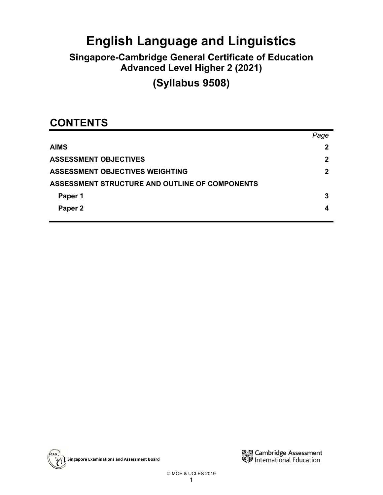# **English Language and Linguistics**

# **Singapore-Cambridge General Certificate of Education Advanced Level Higher 2 (2021)**

**(Syllabus 9508)** 

# **CONTENTS**

|                                                       | Page        |
|-------------------------------------------------------|-------------|
| <b>AIMS</b>                                           | 2           |
| <b>ASSESSMENT OBJECTIVES</b>                          | 2           |
| <b>ASSESSMENT OBJECTIVES WEIGHTING</b>                | $\mathbf 2$ |
| <b>ASSESSMENT STRUCTURE AND OUTLINE OF COMPONENTS</b> |             |
| Paper 1                                               | 3           |
| Paper 2                                               | 4           |
|                                                       |             |



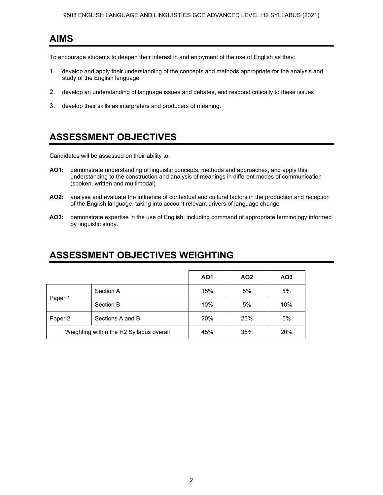### **AIMS**

To encourage students to deepen their interest in and enjoyment of the use of English as they:

- 1. develop and apply their understanding of the concepts and methods appropriate for the analysis and study of the English language
- 2. develop an understanding of language issues and debates, and respond critically to these issues
- 3. develop their skills as interpreters and producers of meaning.

## **ASSESSMENT OBJECTIVES**

Candidates will be assessed on their ability to:

- **AO1:** demonstrate understanding of linguistic concepts, methods and approaches, and apply this understanding to the construction and analysis of meanings in different modes of communication (spoken, written and multimodal)
- **AO2:** analyse and evaluate the influence of contextual and cultural factors in the production and reception of the English language, taking into account relevant drivers of language change
- **AO3:** demonstrate expertise in the use of English, including command of appropriate terminology informed by linguistic study.

### **ASSESSMENT OBJECTIVES WEIGHTING**

|                                          |                  | A01 | AO <sub>2</sub> | AO <sub>3</sub> |
|------------------------------------------|------------------|-----|-----------------|-----------------|
| Paper 1                                  | Section A        | 15% | 5%              | 5%              |
|                                          | Section B        | 10% | 5%              | 10%             |
| Paper 2                                  | Sections A and B | 20% | 25%             | 5%              |
| Weighting within the H2 Syllabus overall |                  | 45% | 35%             | 20%             |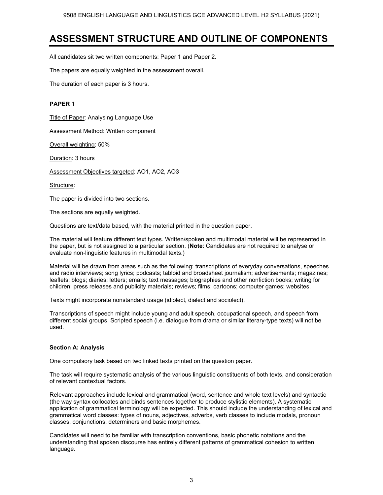### **ASSESSMENT STRUCTURE AND OUTLINE OF COMPONENTS**

All candidates sit two written components: Paper 1 and Paper 2.

The papers are equally weighted in the assessment overall.

The duration of each paper is 3 hours.

#### **PAPER 1**

Title of Paper: Analysing Language Use

**Assessment Method: Written component** 

Overall weighting: 50%

Duration: 3 hours

Assessment Objectives targeted: AO1, AO2, AO3

Structure:

The paper is divided into two sections.

The sections are equally weighted.

Questions are text/data based, with the material printed in the question paper.

The material will feature different text types. Written/spoken and multimodal material will be represented in the paper, but is not assigned to a particular section. (**Note**: Candidates are not required to analyse or evaluate non-linguistic features in multimodal texts.)

Material will be drawn from areas such as the following: transcriptions of everyday conversations, speeches and radio interviews; song lyrics; podcasts; tabloid and broadsheet journalism; advertisements; magazines; leaflets; blogs; diaries; letters; emails; text messages; biographies and other nonfiction books; writing for children; press releases and publicity materials; reviews; films; cartoons; computer games; websites.

Texts might incorporate nonstandard usage (idiolect, dialect and sociolect).

Transcriptions of speech might include young and adult speech, occupational speech, and speech from different social groups. Scripted speech (i.e. dialogue from drama or similar literary-type texts) will not be used.

#### **Section A: Analysis**

One compulsory task based on two linked texts printed on the question paper.

The task will require systematic analysis of the various linguistic constituents of both texts, and consideration of relevant contextual factors.

Relevant approaches include lexical and grammatical (word, sentence and whole text levels) and syntactic (the way syntax collocates and binds sentences together to produce stylistic elements). A systematic application of grammatical terminology will be expected. This should include the understanding of lexical and grammatical word classes: types of nouns, adjectives, adverbs, verb classes to include modals, pronoun classes, conjunctions, determiners and basic morphemes.

Candidates will need to be familiar with transcription conventions, basic phonetic notations and the understanding that spoken discourse has entirely different patterns of grammatical cohesion to written language.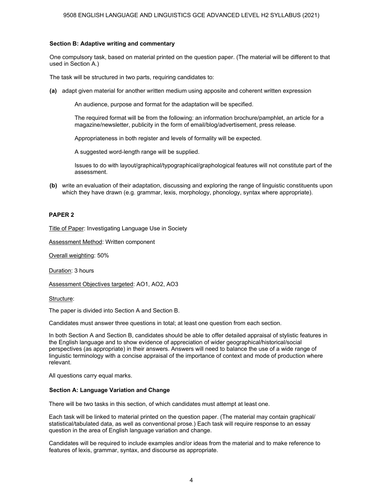#### **Section B: Adaptive writing and commentary**

One compulsory task, based on material printed on the question paper. (The material will be different to that used in Section A.)

The task will be structured in two parts, requiring candidates to:

**(a)** adapt given material for another written medium using apposite and coherent written expression

An audience, purpose and format for the adaptation will be specified.

The required format will be from the following: an information brochure/pamphlet, an article for a magazine/newsletter, publicity in the form of email/blog/advertisement, press release.

Appropriateness in both register and levels of formality will be expected.

A suggested word-length range will be supplied.

Issues to do with layout/graphical/typographical/graphological features will not constitute part of the assessment.

**(b)** write an evaluation of their adaptation, discussing and exploring the range of linguistic constituents upon which they have drawn (e.g. grammar, lexis, morphology, phonology, syntax where appropriate).

#### **PAPER 2**

**Title of Paper: Investigating Language Use in Society** 

Assessment Method: Written component

Overall weighting: 50%

Duration: 3 hours

Assessment Objectives targeted: AO1, AO2, AO3

Structure:

The paper is divided into Section A and Section B.

Candidates must answer three questions in total; at least one question from each section.

In both Section A and Section B, candidates should be able to offer detailed appraisal of stylistic features in the English language and to show evidence of appreciation of wider geographical/historical/social perspectives (as appropriate) in their answers. Answers will need to balance the use of a wide range of linguistic terminology with a concise appraisal of the importance of context and mode of production where relevant.

All questions carry equal marks.

#### **Section A: Language Variation and Change**

There will be two tasks in this section, of which candidates must attempt at least one.

Each task will be linked to material printed on the question paper. (The material may contain graphical/ statistical/tabulated data, as well as conventional prose.) Each task will require response to an essay question in the area of English language variation and change.

Candidates will be required to include examples and/or ideas from the material and to make reference to features of lexis, grammar, syntax, and discourse as appropriate.